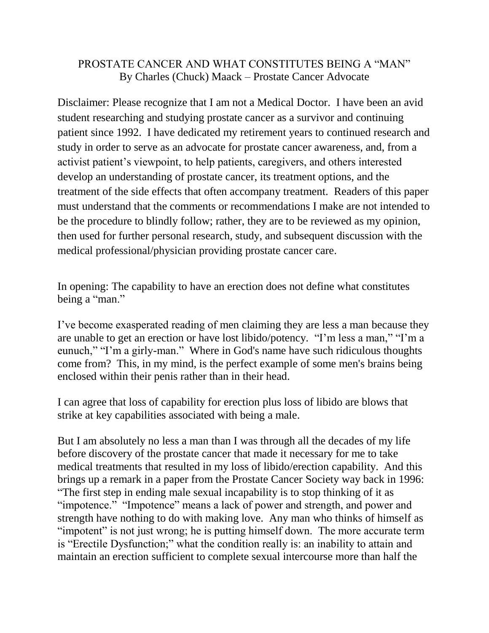## PROSTATE CANCER AND WHAT CONSTITUTES BEING A "MAN" By Charles (Chuck) Maack – Prostate Cancer Advocate

Disclaimer: Please recognize that I am not a Medical Doctor. I have been an avid student researching and studying prostate cancer as a survivor and continuing patient since 1992. I have dedicated my retirement years to continued research and study in order to serve as an advocate for prostate cancer awareness, and, from a activist patient's viewpoint, to help patients, caregivers, and others interested develop an understanding of prostate cancer, its treatment options, and the treatment of the side effects that often accompany treatment. Readers of this paper must understand that the comments or recommendations I make are not intended to be the procedure to blindly follow; rather, they are to be reviewed as my opinion, then used for further personal research, study, and subsequent discussion with the medical professional/physician providing prostate cancer care.

In opening: The capability to have an erection does not define what constitutes being a "man."

I've become exasperated reading of men claiming they are less a man because they are unable to get an erection or have lost libido/potency. "I'm less a man," "I'm a eunuch," "I'm a girly-man." Where in God's name have such ridiculous thoughts come from? This, in my mind, is the perfect example of some men's brains being enclosed within their penis rather than in their head.

I can agree that loss of capability for erection plus loss of libido are blows that strike at key capabilities associated with being a male.

But I am absolutely no less a man than I was through all the decades of my life before discovery of the prostate cancer that made it necessary for me to take medical treatments that resulted in my loss of libido/erection capability. And this brings up a remark in a paper from the Prostate Cancer Society way back in 1996: "The first step in ending male sexual incapability is to stop thinking of it as "impotence." "Impotence" means a lack of power and strength, and power and strength have nothing to do with making love. Any man who thinks of himself as "impotent" is not just wrong; he is putting himself down. The more accurate term is "Erectile Dysfunction;" what the condition really is: an inability to attain and maintain an erection sufficient to complete sexual intercourse more than half the